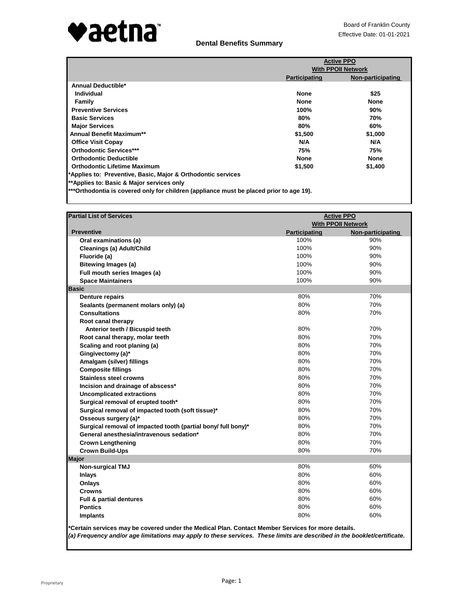

# **Dental Benefits Summary**

|                                                                                         | <b>Active PPO</b>    |                           |  |
|-----------------------------------------------------------------------------------------|----------------------|---------------------------|--|
|                                                                                         |                      | <b>With PPOII Network</b> |  |
|                                                                                         | <b>Participating</b> | Non-participating         |  |
| Annual Deductible*                                                                      |                      |                           |  |
| Individual                                                                              | <b>None</b>          | \$25                      |  |
| Family                                                                                  | <b>None</b>          | <b>None</b>               |  |
| <b>Preventive Services</b>                                                              | 100%                 | 90%                       |  |
| <b>Basic Services</b>                                                                   | 80%                  | 70%                       |  |
| <b>Major Services</b>                                                                   | 80%                  | 60%                       |  |
| <b>Annual Benefit Maximum**</b>                                                         | \$1,500              | \$1,000                   |  |
| <b>Office Visit Copay</b>                                                               | N/A                  | N/A                       |  |
| <b>Orthodontic Services***</b>                                                          | 75%                  | 75%                       |  |
| <b>Orthodontic Deductible</b>                                                           | <b>None</b>          | <b>None</b>               |  |
| <b>Orthodontic Lifetime Maximum</b>                                                     | \$1,500              | \$1,400                   |  |
| *Applies to: Preventive, Basic, Major & Orthodontic services                            |                      |                           |  |
| **Applies to: Basic & Major services only                                               |                      |                           |  |
| ***Orthodontia is covered only for children (appliance must be placed prior to age 19). |                      |                           |  |

| <b>Partial List of Services</b>                               | <b>Active PPO</b>    |                           |
|---------------------------------------------------------------|----------------------|---------------------------|
|                                                               |                      | <b>With PPOII Network</b> |
| <b>Preventive</b>                                             | <b>Participating</b> | Non-participating         |
| Oral examinations (a)                                         | 100%                 | 90%                       |
| Cleanings (a) Adult/Child                                     | 100%                 | 90%                       |
| Fluoride (a)                                                  | 100%                 | 90%                       |
| <b>Bitewing Images (a)</b>                                    | 100%                 | 90%                       |
| Full mouth series Images (a)                                  | 100%                 | 90%                       |
| <b>Space Maintainers</b>                                      | 100%                 | 90%                       |
| <b>Basic</b>                                                  |                      |                           |
| <b>Denture repairs</b>                                        | 80%                  | 70%                       |
| Sealants (permanent molars only) (a)                          | 80%                  | 70%                       |
| <b>Consultations</b>                                          | 80%                  | 70%                       |
| Root canal therapy                                            |                      |                           |
| Anterior teeth / Bicuspid teeth                               | 80%                  | 70%                       |
| Root canal therapy, molar teeth                               | 80%                  | 70%                       |
| Scaling and root planing (a)                                  | 80%                  | 70%                       |
| Gingivectomy (a)*                                             | 80%                  | 70%                       |
| Amalgam (silver) fillings                                     | 80%                  | 70%                       |
| <b>Composite fillings</b>                                     | 80%                  | 70%                       |
| <b>Stainless steel crowns</b>                                 | 80%                  | 70%                       |
| Incision and drainage of abscess*                             | 80%                  | 70%                       |
| <b>Uncomplicated extractions</b>                              | 80%                  | 70%                       |
| Surgical removal of erupted tooth*                            | 80%                  | 70%                       |
| Surgical removal of impacted tooth (soft tissue)*             | 80%                  | 70%                       |
| Osseous surgery (a)*                                          | 80%                  | 70%                       |
| Surgical removal of impacted tooth (partial bony/ full bony)* | 80%                  | 70%                       |
| General anesthesia/intravenous sedation*                      | 80%                  | 70%                       |
| <b>Crown Lengthening</b>                                      | 80%                  | 70%                       |
| <b>Crown Build-Ups</b>                                        | 80%                  | 70%                       |
| <b>Major</b>                                                  |                      |                           |
| <b>Non-surgical TMJ</b>                                       | 80%                  | 60%                       |
| <b>Inlays</b>                                                 | 80%                  | 60%                       |
| Onlays                                                        | 80%                  | 60%                       |
| <b>Crowns</b>                                                 | 80%                  | 60%                       |
| Full & partial dentures                                       | 80%                  | 60%                       |
| <b>Pontics</b>                                                | 80%                  | 60%                       |
| <b>Implants</b>                                               | 80%                  | 60%                       |
|                                                               |                      |                           |

**\*Certain services may be covered under the Medical Plan. Contact Member Services for more details.** *(a) Frequency and/or age limitations may apply to these services. These limits are described in the booklet/certificate.*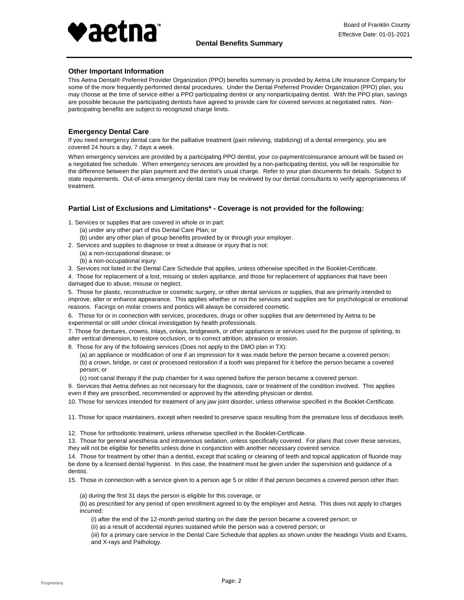

### **Other Important Information**

This Aetna Dental® Preferred Provider Organization (PPO) benefits summary is provided by Aetna Life Insurance Company for some of the more frequently performed dental procedures. Under the Dental Preferred Provider Organization (PPO) plan, you may choose at the time of service either a PPO participating dentist or any nonparticipating dentist. With the PPO plan, savings are possible because the participating dentists have agreed to provide care for covered services at negotiated rates. Nonparticipating benefits are subject to recognized charge limits.

### **Emergency Dental Care**

If you need emergency dental care for the palliative treatment (pain relieving, stabilizing) of a dental emergency, you are covered 24 hours a day, 7 days a week.

When emergency services are provided by a participating PPO dentist, your co-payment/coinsurance amount will be based on a negotiated fee schedule. When emergency services are provided by a non-participating dentist, you will be responsible for the difference between the plan payment and the dentist's usual charge. Refer to your plan documents for details. Subject to state requirements. Out-of-area emergency dental care may be reviewed by our dental consultants to verify appropriateness of treatment.

### **Partial List of Exclusions and Limitations\* - Coverage is not provided for the following:**

- 1. Services or supplies that are covered in whole or in part:
	- (a) under any other part of this Dental Care Plan; or
- (b) under any other plan of group benefits provided by or through your employer.
- 2. Services and supplies to diagnose or treat a disease or injury that is not:
	- (b) a non-occupational injury. (a) a non-occupational disease; or
- 3. Services not listed in the Dental Care Schedule that applies, unless otherwise specified in the Booklet-Certificate.

4. Those for replacement of a lost, missing or stolen appliance, and those for replacement of appliances that have been damaged due to abuse, misuse or neglect.

5. Those for plastic, reconstructive or cosmetic surgery, or other dental services or supplies, that are primarily intended to improve, alter or enhance appearance. This applies whether or not the services and supplies are for psychological or emotional reasons. Facings on molar crowns and pontics will always be considered cosmetic.

6. Those for or in connection with services, procedures, drugs or other supplies that are determined by Aetna to be experimental or still under clinical investigation by health professionals.

7. Those for dentures, crowns, inlays, onlays, bridgework, or other appliances or services used for the purpose of splinting, to alter vertical dimension, to restore occlusion, or to correct attrition, abrasion or erosion.

8. Those for any of the following services (Does not apply to the DMO plan in TX):

(b) a crown, bridge, or cast or processed restoration if a tooth was prepared for it before the person became a covered person; or (a) an appliance or modification of one if an impression for it was made before the person became a covered person;

(c) root canal therapy if the pulp chamber for it was opened before the person became a covered person.

9. Services that Aetna defines as not necessary for the diagnosis, care or treatment of the condition involved. This applies even if they are prescribed, recommended or approved by the attending physician or dentist.

10. Those for services intended for treatment of any jaw joint disorder, unless otherwise specified in the Booklet-Certificate.

11. Those for space maintainers, except when needed to preserve space resulting from the premature loss of deciduous teeth.

12. Those for orthodontic treatment, unless otherwise specified in the Booklet-Certificate.

13. Those for general anesthesia and intravenous sedation, unless specifically covered. For plans that cover these services, they will not be eligible for benefits unless done in conjunction with another necessary covered service.

14. Those for treatment by other than a dentist, except that scaling or cleaning of teeth and topical application of fluoride may be done by a licensed dental hygienist. In this case, the treatment must be given under the supervision and guidance of a dentist.

15. Those in connection with a service given to a person age 5 or older if that person becomes a covered person other than:

(a) during the first 31 days the person is eligible for this coverage, or

(b) as prescribed for any period of open enrollment agreed to by the employer and Aetna. This does not apply to charges incurred:

(i) after the end of the 12-month period starting on the date the person became a covered person; or

(ii) as a result of accidental injuries sustained while the person was a covered person; or

(iii) for a primary care service in the Dental Care Schedule that applies as shown under the headings Visits and Exams, and X-rays and Pathology.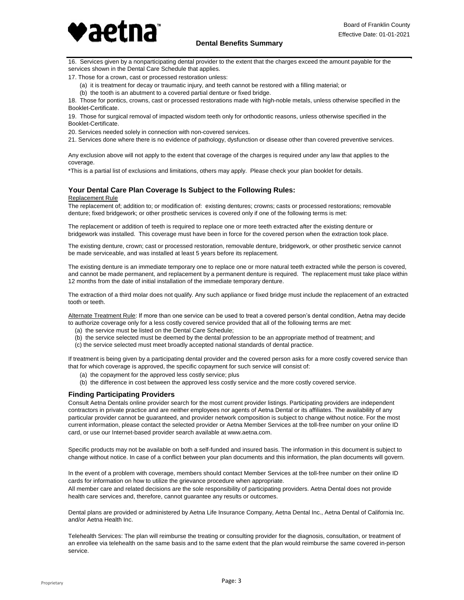

16. Services given by a nonparticipating dental provider to the extent that the charges exceed the amount payable for the services shown in the Dental Care Schedule that applies.

17. Those for a crown, cast or processed restoration unless:

- (a) it is treatment for decay or traumatic injury, and teeth cannot be restored with a filling material; or
- (b) the tooth is an abutment to a covered partial denture or fixed bridge.

18. Those for pontics, crowns, cast or processed restorations made with high-noble metals, unless otherwise specified in the Booklet-Certificate.

19. Those for surgical removal of impacted wisdom teeth only for orthodontic reasons, unless otherwise specified in the Booklet-Certificate.

20. Services needed solely in connection with non-covered services.

21. Services done where there is no evidence of pathology, dysfunction or disease other than covered preventive services.

Any exclusion above will not apply to the extent that coverage of the charges is required under any law that applies to the coverage.

\*This is a partial list of exclusions and limitations, others may apply. Please check your plan booklet for details.

### **Your Dental Care Plan Coverage Is Subject to the Following Rules:**

#### Replacement Rule

The replacement of; addition to; or modification of: existing dentures; crowns; casts or processed restorations; removable denture; fixed bridgework; or other prosthetic services is covered only if one of the following terms is met:

The replacement or addition of teeth is required to replace one or more teeth extracted after the existing denture or bridgework was installed. This coverage must have been in force for the covered person when the extraction took place.

The existing denture, crown; cast or processed restoration, removable denture, bridgework, or other prosthetic service cannot be made serviceable, and was installed at least 5 years before its replacement.

The existing denture is an immediate temporary one to replace one or more natural teeth extracted while the person is covered, and cannot be made permanent, and replacement by a permanent denture is required. The replacement must take place within 12 months from the date of initial installation of the immediate temporary denture.

The extraction of a third molar does not qualify. Any such appliance or fixed bridge must include the replacement of an extracted tooth or teeth.

Alternate Treatment Rule: If more than one service can be used to treat a covered person's dental condition, Aetna may decide to authorize coverage only for a less costly covered service provided that all of the following terms are met:

- (a) the service must be listed on the Dental Care Schedule;
- (b) the service selected must be deemed by the dental profession to be an appropriate method of treatment; and
- (c) the service selected must meet broadly accepted national standards of dental practice.

If treatment is being given by a participating dental provider and the covered person asks for a more costly covered service than that for which coverage is approved, the specific copayment for such service will consist of:

- (a) the copayment for the approved less costly service; plus
- (b) the difference in cost between the approved less costly service and the more costly covered service.

#### **Finding Participating Providers**

Consult Aetna Dentals online provider search for the most current provider listings. Participating providers are independent contractors in private practice and are neither employees nor agents of Aetna Dental or its affiliates. The availability of any particular provider cannot be guaranteed, and provider network composition is subject to change without notice. For the most current information, please contact the selected provider or Aetna Member Services at the toll-free number on your online ID card, or use our Internet-based provider search available at www.aetna.com.

Specific products may not be available on both a self-funded and insured basis. The information in this document is subject to change without notice. In case of a conflict between your plan documents and this information, the plan documents will govern.

In the event of a problem with coverage, members should contact Member Services at the toll-free number on their online ID cards for information on how to utilize the grievance procedure when appropriate.

All member care and related decisions are the sole responsibility of participating providers. Aetna Dental does not provide health care services and, therefore, cannot guarantee any results or outcomes.

Dental plans are provided or administered by Aetna Life Insurance Company, Aetna Dental Inc., Aetna Dental of California Inc. and/or Aetna Health Inc.

Telehealth Services: The plan will reimburse the treating or consulting provider for the diagnosis, consultation, or treatment of an enrollee via telehealth on the same basis and to the same extent that the plan would reimburse the same covered in-person service.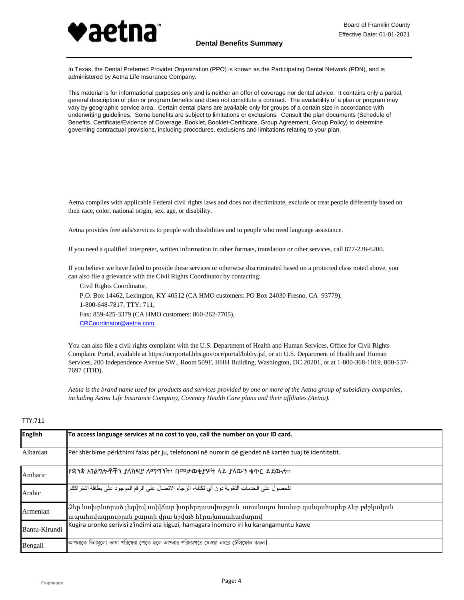

In Texas, the Dental Preferred Provider Organization (PPO) is known as the Participating Dental Network (PDN), and is administered by Aetna Life Insurance Company.

This material is for informational purposes only and is neither an offer of coverage nor dental advice. It contains only a partial, general description of plan or program benefits and does not constitute a contract. The availability of a plan or program may vary by geographic service area. Certain dental plans are available only for groups of a certain size in accordance with underwriting guidelines. Some benefits are subject to limitations or exclusions. Consult the plan documents (Schedule of Benefits, Certificate/Evidence of Coverage, Booklet, Booklet-Certificate, Group Agreement, Group Policy) to determine governing contractual provisions, including procedures, exclusions and limitations relating to your plan.

Aetna complies with applicable Federal civil rights laws and does not discriminate, exclude or treat people differently based on their race, color, national origin, sex, age, or disability.

Aetna provides free aids/services to people with disabilities and to people who need language assistance.

If you need a qualified interpreter, written information in other formats, translation or other services, call 877-238-6200.

If you believe we have failed to provide these services or otherwise discriminated based on a protected class noted above, you can also file a grievance with the Civil Rights Coordinator by contacting:

Civil Rights Coordinator, P.O. Box 14462, Lexington, KY 40512 (CA HMO customers: PO Box 24030 Fresno, CA 93779), 1-800-648-7817, TTY: 711, Fax: 859-425-3379 (CA HMO customers: 860-262-7705), [CRCoordinator@aetna.com.](mailto:CRCoordinator@aetna.com.)

You can also file a civil rights complaint with the U.S. Department of Health and Human Services, Office for Civil Rights Complaint Portal, available at https://ocrportal.hhs.gov/ocr/portal/lobby.jsf, or at: U.S. Department of Health and Human Services, 200 Independence Avenue SW., Room 509F, HHH Building, Washington, DC 20201, or at 1-800-368-1019, 800-537- 7697 (TDD).

*Aetna is the brand name used for products and services provided by one or more of the Aetna group of subsidiary companies, including Aetna Life Insurance Company, Coventry Health Care plans and their affiliates (Aetna).*

| <b>English</b> | To access language services at no cost to you, call the number on your ID card.                                                         |
|----------------|-----------------------------------------------------------------------------------------------------------------------------------------|
| Albanian       | Për shërbime përkthimi falas për ju, telefononi në numrin që gjendet në kartën tuaj të identitetit.                                     |
| Amharic        | የቋንቋ አንልግሎቶችን ያለክፍያ ለማግኘት፣ በሞታወቂያዎት ላይ ያለውን ቁጥር ይደውሉ፡፡                                                                                  |
| Arabic         | للحصول على الخدمات اللغوية دون أي تكلفة، الرجاء الاتصال على الرقم الموجود على بطاقة اشتراكك.                                            |
| Armenian       | Ձեր նախընտրած լեզվով ավվձար խորհրդատվություն  ստանալու համար զանգահարեք ձեր բժշկական<br>ապահովագրության քարտի վրա նշված հէրախոսահամարով |
| Bantu-Kirundi  | Kugira uronke serivisi z'indimi ata kiguzi, hamagara inomero iri ku karangamuntu kawe                                                   |
| Bengali        | আপনাকে বিনামূল্যে ভাষা পরিষেবা পেতে হলে আপনার পরিচয়পত্রে দেওয়া নম্বরে টেলিফোন করুন                                                    |

## TTY:711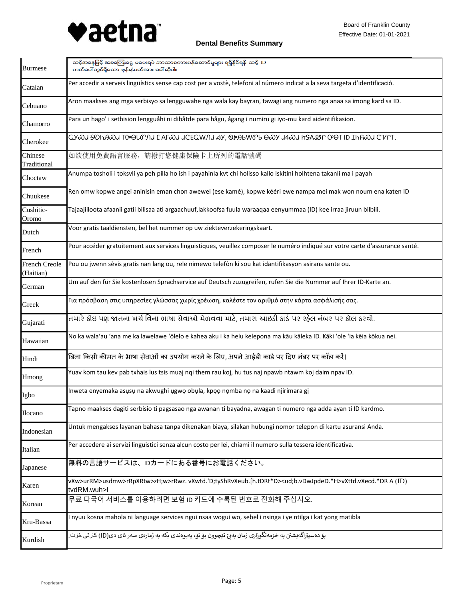

| <b>Burmese</b>                    | သင့်အနေဖြင့် အခကြေးငွေ မပေးရပဲ ဘာသာစကားပန်ဆောင်မှုများ ရရှိနိုင်ရန်၊ သင့် ID<br>ကတ်ပေါ်တွင်ရှိသော ဖုန်းနံပတ်အား ခေါ်ဆိုပါ။                     |
|-----------------------------------|------------------------------------------------------------------------------------------------------------------------------------------------|
| Catalan                           | Per accedir a serveis lingüístics sense cap cost per a vostè, telefoni al número indicat a la seva targeta d'identificació.                    |
| Cebuano                           | Aron maakses ang mga serbisyo sa lengguwahe nga wala kay bayran, tawagi ang numero nga anaa sa imong kard sa ID.                               |
| Chamorro                          | Para un hago' i setbision lengguåhi ni dibåtde para hågu, ågang i numiru gi iyo-mu kard aidentifikasion.                                       |
| Cherokee                          | LY�J <del>S</del> OHA�J TO OLO'NI LAF�J JCEGWNJ SY, OPABWO'B O�J J4�J HSALY O'OT ID IHR�J C'VLT.                                               |
| Chinese<br>Traditional            | 如欲使用免費語言服務,請撥打您健康保險卡上所列的電話號碼                                                                                                                   |
| Choctaw                           | Anumpa tosholi i toksvli ya peh pilla ho ish i payahinla kvt chi holisso kallo iskitini holhtena takanli ma i payah                            |
| Chuukese                          | Ren omw kopwe angei aninisin eman chon awewei (ese kamé), kopwe kééri ewe nampa mei mak won noum ena katen ID                                  |
| Cushitic-<br>Oromo                | Tajaajiiloota afaanii gatii bilisaa ati argaachuuf,lakkoofsa fuula waraaqaa eenyummaa (ID) kee irraa jiruun bilbili.                           |
| Dutch                             | Voor gratis taaldiensten, bel het nummer op uw ziekteverzekeringskaart.                                                                        |
| French                            | Pour accéder gratuitement aux services linguistiques, veuillez composer le numéro indiqué sur votre carte d'assurance santé.                   |
| <b>French Creole</b><br>(Haitian) | Pou ou jwenn sèvis gratis nan lang ou, rele nimewo telefòn ki sou kat idantifikasyon asirans sante ou.                                         |
| German                            | Um auf den für Sie kostenlosen Sprachservice auf Deutsch zuzugreifen, rufen Sie die Nummer auf Ihrer ID-Karte an.                              |
| Greek                             | Για πρόσβαση στις υπηρεσίες γλώσσας χωρίς χρέωση, καλέστε τον αριθμό στην κάρτα ασφάλισής σας.                                                 |
| Gujarati                          | તમારે ક્રોઇ પણ જાતના ખર્ચ વિના ભાષા સેવાઓ મેળવવા માટે, તમારા આઇડી કાર્ડ પર રહેલ નંબર પર કૉલ કરવો.                                              |
| Hawaiian                          | No ka wala'au 'ana me ka lawelawe 'ōlelo e kahea aku i ka helu kelepona ma kāu kāleka ID. Kāki 'ole 'ia kēia kōkua nei.                        |
| Hindi                             | बिना किसी कीमत के भाषा सेवाओं का उपयोग करने के लिए, अपने आईडी कार्ड पर दिए नंबर पर कॉल करें।                                                   |
| Hmong                             | Yuav kom tau kev pab txhais lus tsis muaj nqi them rau koj, hu tus naj npawb ntawm koj daim npav ID.                                           |
| Igbo                              | Inweta enyemaka asusu na akwughi ugwo obula, kpoo nomba no na kaadi njirimara gi                                                               |
| Ilocano                           | Tapno maakses dagiti serbisio ti pagsasao nga awanan ti bayadna, awagan ti numero nga adda ayan ti ID kardmo.                                  |
| Indonesian                        | Untuk mengakses layanan bahasa tanpa dikenakan biaya, silakan hubungi nomor telepon di kartu asuransi Anda.                                    |
| Italian                           | Per accedere ai servizi linguistici senza alcun costo per lei, chiami il numero sulla tessera identificativa.                                  |
| Japanese                          | 無料の言語サービスは、IDカードにある番号にお電話ください。                                                                                                                 |
| Karen                             | vXw>urRM>usdmw>rRpXRtw>zH;w>rRwz.vXwtd.'D;tyShRvXeub.[h.tDRt*D> <ud;b.vdwjpded.*h>vXttd.vXecd.*DR A (ID)<br/>tvdRM.wuh&gt;l</ud;b.vdwjpded.*h> |
| Korean                            | 무료 다국어 서비스를 이용하려면 보험 ID 카드에 수록된 번호로 전화해 주십시오.                                                                                                  |
| Kru-Bassa                         | I nyuu kosna mahola ni language services ngui nsaa wogui wo, sebel i nsinga i ye ntilga i kat yong matibla                                     |
| Kurdish                           | بۆ دەسپێراگەيشتن بە خزمەتگوزارى زمان بەبىّ تێچوون بۆ تۆ، پەيوەندى بكە بە ژمارەى سەر ئاى دى(ID) كار تى خۆت.                                     |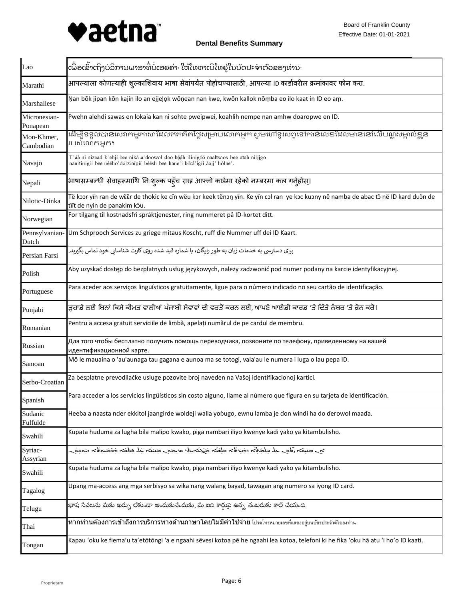

| Lao                      | ເພື່ອເຂົ້າເຖິງບໍລິການພາສາທີ່ບໍ່ເສຍຄ່າ <sup>,</sup> ໃຫ້ໂທຫາເບີໂທຢູ່ໃນບັດປະຈາຕົວຂອງທ່ານ <sup>.</sup>                                                                    |
|--------------------------|-----------------------------------------------------------------------------------------------------------------------------------------------------------------------|
| Marathi                  | आपल्याला कोणत्याही शुल्काशिवाय भाषा सेवांपर्यंत पोहोचण्यासाठी , आपल्या ।D कार्डावरील क्रमांकावर फोन करा.                                                              |
| Marshallese              | Nan bōk jipañ kōn kajin ilo an ejjeļok wōņean ñan kwe, kwōn kallok nōṃba eo ilo kaat in ID eo aṃ.                                                                     |
| Micronesian-<br>Ponapean | Pwehn alehdi sawas en lokaia kan ni sohte pweipwei, koahlih nempe nan amhw doaropwe en ID.                                                                            |
| Mon-Khmer,<br>Cambodian  | ដើម្បីទទួលបានសេវាកម្មភាសាដែលឥតគិតថ្លៃសម្រាប់លោកអ្នក សូមហៅទូរសព្ទទៅកាន់លេខដែលមាននៅលើបណ្ណសម្គាល់ខ្លួន<br>របស់លោកអ្នក។                                                   |
| Navajo                   | I'áá ni nizaad k'ehjí bee níká a'doowoł doo bááh ílínígóó naaltsoos bee atah nílíjgo<br>nanitinígíí bee néého'dólzinígíí béésh bee hane'í biká'ígíí áaji' hólne'.     |
| Nepali                   | भाषासम्बन्धी सेवाहरूमाथि निःशुल्क पहूँच राख्न आफ्नो कार्डमा रहेको नम्बरमा कल गर्नुहोस्।                                                                               |
| Nilotic-Dinka            | Të kɔɔr yïn ran de wëër de thokic ke cïn wëu kɔr keek tënɔŋ yïn. Ke yïn cɔl ran ye kɔc kuɔny në namba de abac tɔ̈ në ID kard duɔ̃n de<br>tiït de nyin de panakim köu. |
| Norwegian                | For tilgang til kostnadsfri språktjenester, ring nummeret på ID-kortet ditt.                                                                                          |
| Pennsylvanian-<br>Dutch  | Um Schprooch Services zu griege mitaus Koscht, ruff die Nummer uff dei ID Kaart.                                                                                      |
| Persian Farsi            | برای دسترسی به خدمات زیان به طور رایگان، با شماره قید شده روی کارت شناسایی خود تماس بگیرید.                                                                           |
| Polish                   | Aby uzyskać dostęp do bezpłatnych usług językowych, należy zadzwonić pod numer podany na karcie identyfikacyjnej.                                                     |
| Portuguese               | Para aceder aos serviços linguísticos gratuitamente, ligue para o número indicado no seu cartão de identificação.                                                     |
| Punjabi                  | ਤਹਾਡੇ ਲਈ ਬਿਨਾਂ ਕਿਸੇ ਕੀਮਤ ਵਾਲੀਆਂ ਪੰਜਾਬੀ ਸੇਵਾਵਾਂ ਦੀ ਵਰਤੋਂ ਕਰਨ ਲਈ, ਆਪਣੇ ਆਈਡੀ ਕਾਰਡ 'ਤੇ ਦਿੱਤੇ ਨੰਬਰ 'ਤੇ ਫ਼ੋਨ ਕਰੋ।                                                           |
| Romanian                 | Pentru a accesa gratuit serviciile de limbă, apelați numărul de pe cardul de membru.                                                                                  |
| Russian                  | Для того чтобы бесплатно получить помощь переводчика, позвоните по телефону, приведенному на вашей<br>идентификационной карте.                                        |
| Samoan                   | Mō le mauaina o 'au'aunaga tau gagana e aunoa ma se totogi, vala'au le numera i luga o lau pepa ID.                                                                   |
| Serbo-Croatian           | Za besplatne prevodilačke usluge pozovite broj naveden na Vašoj identifikacionoj kartici.                                                                             |
| Spanish                  | Para acceder a los servicios lingüísticos sin costo alguno, llame al número que figura en su tarjeta de identificación.                                               |
| Sudanic<br>Fulfulde      | Heeɓa a naasta nder ekkitol jaangirde woldeji walla yoɓugo, ewnu lamba je ɗon windi ha do ɗerowol maaɗa.                                                              |
| Swahili                  | Kupata huduma za lugha bila malipo kwako, piga nambari iliyo kwenye kadi yako ya kitambulisho.                                                                        |
| Syriac-<br>Assyrian      | رمومة، «لماصحة، من علم مرضت رمعه مه المرضرين منقل من المنه من المجالب لم رماه، من سب ره                                                                               |
| Swahili                  | Kupata huduma za lugha bila malipo kwako, piga nambari iliyo kwenye kadi yako ya kitambulisho.                                                                        |
| Tagalog                  | Upang ma-access ang mga serbisyo sa wika nang walang bayad, tawagan ang numero sa iyong ID card.                                                                      |
| Telugu                   | భాష సేవలను మీకు ఖర్చు లేకుండా అందుకునేందుకు, మీ ఐడి కార్డుపై ఉన్న నంబరుకు కాల్ చేయండి.                                                                                |
| Thai                     | <b>หากท่านต้องการเข้าถึงการบริการทางด้านภาษาโดยไม่มีค่าใช้จ่าย</b> โปรดโทรหมายเลขที่แสดงอยู่บนบัตรประจำตัวของท่าน                                                     |
| Tongan                   | Kapau 'oku ke fiema'u ta'etōtōngi 'a e ngaahi sēvesi kotoa pē he ngaahi lea kotoa, telefoni ki he fika 'oku hā atu 'i ho'o ID kaati.                                  |